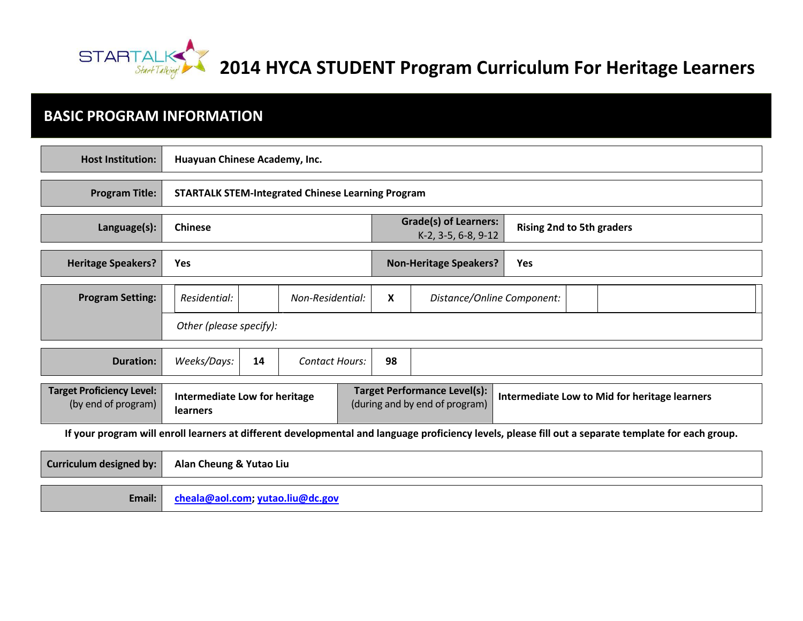

# **2014 HYCA STUDENT Program Curriculum For Heritage Learners**

## **BASIC PROGRAM INFORMATION**

**Email: [cheala@aol.com;](mailto:cheala@aol.com) [yutao.liu@dc.gov](mailto:yutao.liu@dc.gov)**

| <b>Host Institution:</b>                                                                                                                             | Huayuan Chinese Academy, Inc.                            |    |                       |  |                                                                       |                            |                                  |  |                                               |
|------------------------------------------------------------------------------------------------------------------------------------------------------|----------------------------------------------------------|----|-----------------------|--|-----------------------------------------------------------------------|----------------------------|----------------------------------|--|-----------------------------------------------|
| <b>Program Title:</b>                                                                                                                                | <b>STARTALK STEM-Integrated Chinese Learning Program</b> |    |                       |  |                                                                       |                            |                                  |  |                                               |
| Language(s):                                                                                                                                         | <b>Chinese</b>                                           |    |                       |  | <b>Grade(s) of Learners:</b><br>K-2, 3-5, 6-8, 9-12                   |                            | <b>Rising 2nd to 5th graders</b> |  |                                               |
| <b>Heritage Speakers?</b>                                                                                                                            | Yes                                                      |    |                       |  | <b>Non-Heritage Speakers?</b>                                         | <b>Yes</b>                 |                                  |  |                                               |
| <b>Program Setting:</b>                                                                                                                              | Residential:                                             |    | Non-Residential:      |  | X                                                                     | Distance/Online Component: |                                  |  |                                               |
|                                                                                                                                                      | Other (please specify):                                  |    |                       |  |                                                                       |                            |                                  |  |                                               |
| <b>Duration:</b>                                                                                                                                     | Weeks/Days:                                              | 14 | <b>Contact Hours:</b> |  | 98                                                                    |                            |                                  |  |                                               |
| <b>Target Proficiency Level:</b><br>(by end of program)                                                                                              | Intermediate Low for heritage<br>learners                |    |                       |  | <b>Target Performance Level(s):</b><br>(during and by end of program) |                            |                                  |  | Intermediate Low to Mid for heritage learners |
| If your program will enroll learners at different developmental and language proficiency levels, please fill out a separate template for each group. |                                                          |    |                       |  |                                                                       |                            |                                  |  |                                               |
| <b>Curriculum designed by:</b>                                                                                                                       | Alan Cheung & Yutao Liu                                  |    |                       |  |                                                                       |                            |                                  |  |                                               |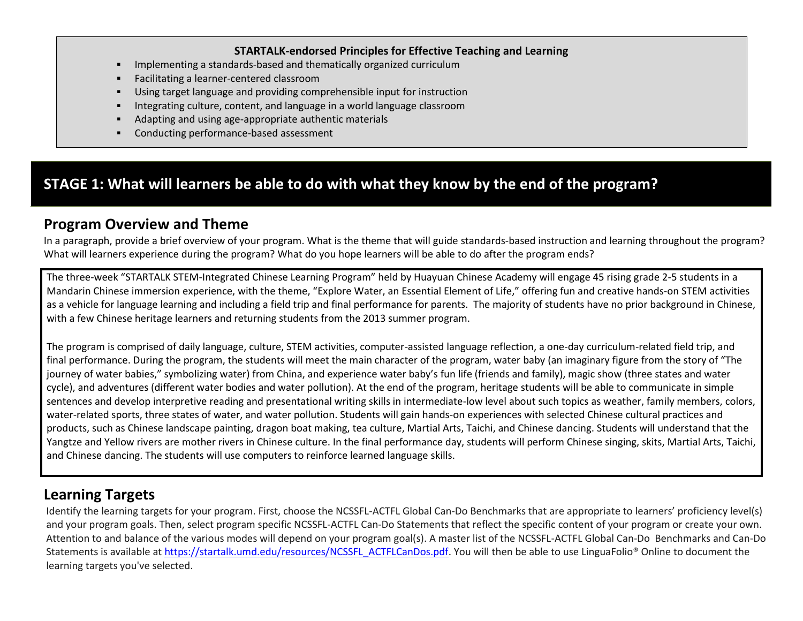#### **STARTALK-endorsed Principles for Effective Teaching and Learning**

- Implementing a standards-based and thematically organized curriculum
- Facilitating a learner-centered classroom
- Using target language and providing comprehensible input for instruction
- Integrating culture, content, and language in a world language classroom
- Adapting and using age-appropriate authentic materials
- Conducting performance-based assessment

## **STAGE 1: What will learners be able to do with what they know by the end of the program?**

### **Program Overview and Theme**

In a paragraph, provide a brief overview of your program. What is the theme that will guide standards-based instruction and learning throughout the program? What will learners experience during the program? What do you hope learners will be able to do after the program ends?

The three-week "STARTALK STEM-Integrated Chinese Learning Program" held by Huayuan Chinese Academy will engage 45 rising grade 2-5 students in a Mandarin Chinese immersion experience, with the theme, "Explore Water, an Essential Element of Life," offering fun and creative hands-on STEM activities as a vehicle for language learning and including a field trip and final performance for parents. The majority of students have no prior background in Chinese, with a few Chinese heritage learners and returning students from the 2013 summer program.

The program is comprised of daily language, culture, STEM activities, computer-assisted language reflection, a one-day curriculum-related field trip, and final performance. During the program, the students will meet the main character of the program, water baby (an imaginary figure from the story of "The journey of water babies," symbolizing water) from China, and experience water baby's fun life (friends and family), magic show (three states and water cycle), and adventures (different water bodies and water pollution). At the end of the program, heritage students will be able to communicate in simple sentences and develop interpretive reading and presentational writing skills in intermediate-low level about such topics as weather, family members, colors, water-related sports, three states of water, and water pollution. Students will gain hands-on experiences with selected Chinese cultural practices and products, such as Chinese landscape painting, dragon boat making, tea culture, Martial Arts, Taichi, and Chinese dancing. Students will understand that the Yangtze and Yellow rivers are mother rivers in Chinese culture. In the final performance day, students will perform Chinese singing, skits, Martial Arts, Taichi, and Chinese dancing. The students will use computers to reinforce learned language skills.

## **Learning Targets**

Identify the learning targets for your program. First, choose the NCSSFL-ACTFL Global Can-Do Benchmarks that are appropriate to learners' proficiency level(s) and your program goals. Then, select program specific NCSSFL-ACTFL Can-Do Statements that reflect the specific content of your program or create your own. Attention to and balance of the various modes will depend on your program goal(s). A master list of the NCSSFL-ACTFL Global Can-Do Benchmarks and Can-Do Statements is available at [https://startalk.umd.edu/resources/NCSSFL\\_ACTFLCanDos.pdf.](https://startalk.umd.edu/resources/NCSSFL_ACTFLCanDos.pdf) You will then be able to use LinguaFolio® Online to document the learning targets you've selected.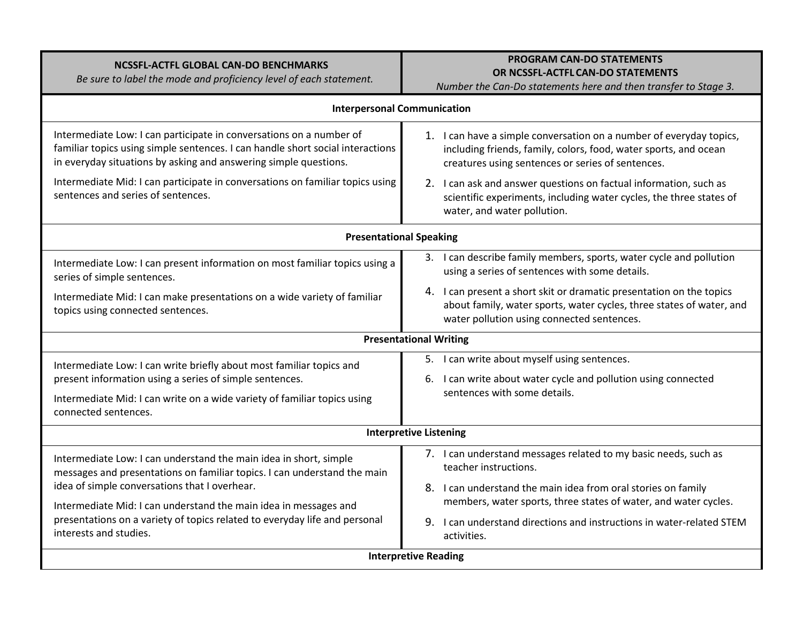| NCSSFL-ACTFL GLOBAL CAN-DO BENCHMARKS |  |
|---------------------------------------|--|
|                                       |  |

*Be sure to label the mode and proficiency level of each statement.*

#### **PROGRAM CAN-DO STATEMENTS OR NCSSFL-ACTFL CAN-DO STATEMENTS**

*Number the Can-Do statements here and then transfer to Stage 3.* 

| <b>Interpersonal Communication</b>                                                                                                                                                                                        |                                                                                                                                                                                              |  |  |  |
|---------------------------------------------------------------------------------------------------------------------------------------------------------------------------------------------------------------------------|----------------------------------------------------------------------------------------------------------------------------------------------------------------------------------------------|--|--|--|
| Intermediate Low: I can participate in conversations on a number of<br>familiar topics using simple sentences. I can handle short social interactions<br>in everyday situations by asking and answering simple questions. | 1. I can have a simple conversation on a number of everyday topics,<br>including friends, family, colors, food, water sports, and ocean<br>creatures using sentences or series of sentences. |  |  |  |
| Intermediate Mid: I can participate in conversations on familiar topics using<br>sentences and series of sentences.                                                                                                       | 2. I can ask and answer questions on factual information, such as<br>scientific experiments, including water cycles, the three states of<br>water, and water pollution.                      |  |  |  |
|                                                                                                                                                                                                                           | <b>Presentational Speaking</b>                                                                                                                                                               |  |  |  |
| Intermediate Low: I can present information on most familiar topics using a<br>series of simple sentences.                                                                                                                | I can describe family members, sports, water cycle and pollution<br>3.<br>using a series of sentences with some details.                                                                     |  |  |  |
| Intermediate Mid: I can make presentations on a wide variety of familiar<br>topics using connected sentences.                                                                                                             | 4. I can present a short skit or dramatic presentation on the topics<br>about family, water sports, water cycles, three states of water, and<br>water pollution using connected sentences.   |  |  |  |
| <b>Presentational Writing</b>                                                                                                                                                                                             |                                                                                                                                                                                              |  |  |  |
| Intermediate Low: I can write briefly about most familiar topics and<br>present information using a series of simple sentences.                                                                                           | 5. I can write about myself using sentences.<br>I can write about water cycle and pollution using connected<br>6.                                                                            |  |  |  |
| Intermediate Mid: I can write on a wide variety of familiar topics using<br>connected sentences.                                                                                                                          | sentences with some details.                                                                                                                                                                 |  |  |  |
|                                                                                                                                                                                                                           | <b>Interpretive Listening</b>                                                                                                                                                                |  |  |  |
| Intermediate Low: I can understand the main idea in short, simple<br>messages and presentations on familiar topics. I can understand the main                                                                             | 7. I can understand messages related to my basic needs, such as<br>teacher instructions.                                                                                                     |  |  |  |
| idea of simple conversations that I overhear.<br>Intermediate Mid: I can understand the main idea in messages and                                                                                                         | 8. I can understand the main idea from oral stories on family<br>members, water sports, three states of water, and water cycles.                                                             |  |  |  |
| presentations on a variety of topics related to everyday life and personal<br>interests and studies.                                                                                                                      | 9.<br>I can understand directions and instructions in water-related STEM<br>activities.                                                                                                      |  |  |  |
| <b>Interpretive Reading</b>                                                                                                                                                                                               |                                                                                                                                                                                              |  |  |  |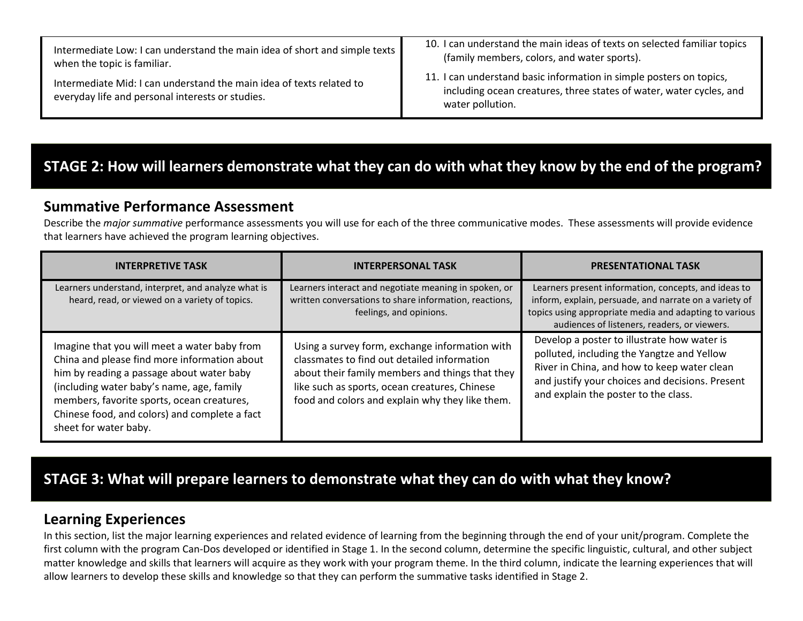| Intermediate Low: I can understand the main idea of short and simple texts                                               | 10. I can understand the main ideas of texts on selected familiar topics                                                                                       |
|--------------------------------------------------------------------------------------------------------------------------|----------------------------------------------------------------------------------------------------------------------------------------------------------------|
| when the topic is familiar.                                                                                              | (family members, colors, and water sports).                                                                                                                    |
| Intermediate Mid: I can understand the main idea of texts related to<br>everyday life and personal interests or studies. | 11. I can understand basic information in simple posters on topics,<br>including ocean creatures, three states of water, water cycles, and<br>water pollution. |

# **STAGE 2: How will learners demonstrate what they can do with what they know by the end of the program?**

#### **Summative Performance Assessment**

Describe the *major summative* performance assessments you will use for each of the three communicative modes. These assessments will provide evidence that learners have achieved the program learning objectives.

| <b>INTERPRETIVE TASK</b>                                                                                                                                                                                                                                                                                       | <b>INTERPERSONAL TASK</b>                                                                                                                                                                                                                            | <b>PRESENTATIONAL TASK</b>                                                                                                                                                                                                          |
|----------------------------------------------------------------------------------------------------------------------------------------------------------------------------------------------------------------------------------------------------------------------------------------------------------------|------------------------------------------------------------------------------------------------------------------------------------------------------------------------------------------------------------------------------------------------------|-------------------------------------------------------------------------------------------------------------------------------------------------------------------------------------------------------------------------------------|
| Learners understand, interpret, and analyze what is<br>heard, read, or viewed on a variety of topics.                                                                                                                                                                                                          | Learners interact and negotiate meaning in spoken, or<br>written conversations to share information, reactions,<br>feelings, and opinions.                                                                                                           | Learners present information, concepts, and ideas to<br>inform, explain, persuade, and narrate on a variety of<br>topics using appropriate media and adapting to various<br>audiences of listeners, readers, or viewers.            |
| Imagine that you will meet a water baby from<br>China and please find more information about<br>him by reading a passage about water baby<br>(including water baby's name, age, family<br>members, favorite sports, ocean creatures,<br>Chinese food, and colors) and complete a fact<br>sheet for water baby. | Using a survey form, exchange information with<br>classmates to find out detailed information<br>about their family members and things that they<br>like such as sports, ocean creatures, Chinese<br>food and colors and explain why they like them. | Develop a poster to illustrate how water is<br>polluted, including the Yangtze and Yellow<br>River in China, and how to keep water clean<br>and justify your choices and decisions. Present<br>and explain the poster to the class. |

## **STAGE 3: What will prepare learners to demonstrate what they can do with what they know?**

#### **Learning Experiences**

In this section, list the major learning experiences and related evidence of learning from the beginning through the end of your unit/program. Complete the first column with the program Can-Dos developed or identified in Stage 1. In the second column, determine the specific linguistic, cultural, and other subject matter knowledge and skills that learners will acquire as they work with your program theme. In the third column, indicate the learning experiences that will allow learners to develop these skills and knowledge so that they can perform the summative tasks identified in Stage 2.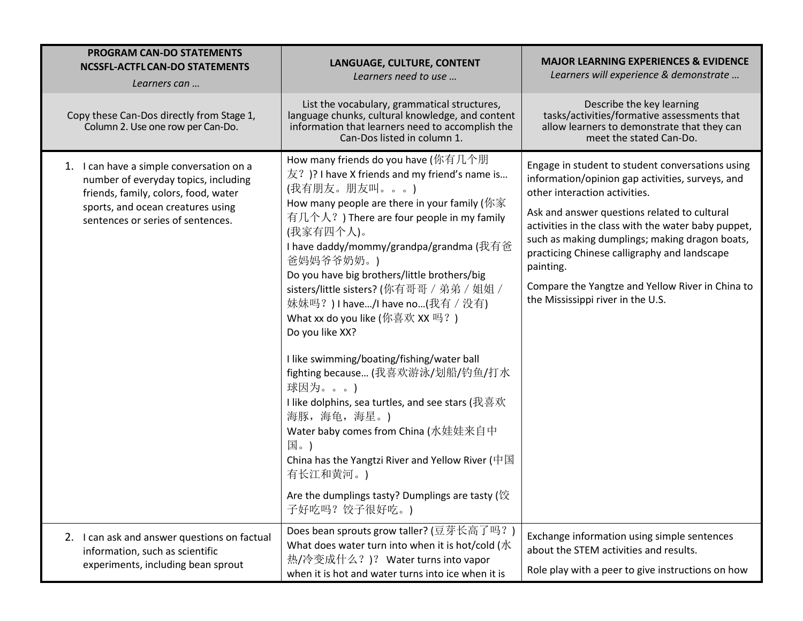| <b>PROGRAM CAN-DO STATEMENTS</b><br><b>NCSSFL-ACTFL CAN-DO STATEMENTS</b><br>Learners can                                                                                                          | LANGUAGE, CULTURE, CONTENT<br>Learners need to use                                                                                                                                                                                                                                                                                                                                                                                                                                                                                                                                                                                                                                                                                                                                                             | <b>MAJOR LEARNING EXPERIENCES &amp; EVIDENCE</b><br>Learners will experience & demonstrate                                                                                                                                                                                                                                                                                                                                                           |
|----------------------------------------------------------------------------------------------------------------------------------------------------------------------------------------------------|----------------------------------------------------------------------------------------------------------------------------------------------------------------------------------------------------------------------------------------------------------------------------------------------------------------------------------------------------------------------------------------------------------------------------------------------------------------------------------------------------------------------------------------------------------------------------------------------------------------------------------------------------------------------------------------------------------------------------------------------------------------------------------------------------------------|------------------------------------------------------------------------------------------------------------------------------------------------------------------------------------------------------------------------------------------------------------------------------------------------------------------------------------------------------------------------------------------------------------------------------------------------------|
| Copy these Can-Dos directly from Stage 1,<br>Column 2. Use one row per Can-Do.                                                                                                                     | List the vocabulary, grammatical structures,<br>language chunks, cultural knowledge, and content<br>information that learners need to accomplish the<br>Can-Dos listed in column 1.                                                                                                                                                                                                                                                                                                                                                                                                                                                                                                                                                                                                                            | Describe the key learning<br>tasks/activities/formative assessments that<br>allow learners to demonstrate that they can<br>meet the stated Can-Do.                                                                                                                                                                                                                                                                                                   |
| 1. I can have a simple conversation on a<br>number of everyday topics, including<br>friends, family, colors, food, water<br>sports, and ocean creatures using<br>sentences or series of sentences. | How many friends do you have (你有几个朋<br>友?)? I have X friends and my friend's name is<br>(我有朋友。朋友叫。。。)<br>How many people are there in your family (你家<br>有几个人?) There are four people in my family<br>(我家有四个人)。<br>I have daddy/mommy/grandpa/grandma (我有爸<br>爸妈妈爷爷奶奶。)<br>Do you have big brothers/little brothers/big<br>sisters/little sisters? (你有哥哥 / 弟弟 / 姐姐 /<br>妹妹吗?)I have/I have no(我有 / 没有)<br>What xx do you like (你喜欢 XX 吗?)<br>Do you like XX?<br>I like swimming/boating/fishing/water ball<br>fighting because (我喜欢游泳/划船/钓鱼/打水<br>球因为。。。)<br>I like dolphins, sea turtles, and see stars (我喜欢<br>海豚, 海龟, 海星。)<br>Water baby comes from China (水娃娃来自中<br>国。)<br>China has the Yangtzi River and Yellow River (中国<br>有长江和黄河。)<br>Are the dumplings tasty? Dumplings are tasty (饺<br>子好吃吗?饺子很好吃。) | Engage in student to student conversations using<br>information/opinion gap activities, surveys, and<br>other interaction activities.<br>Ask and answer questions related to cultural<br>activities in the class with the water baby puppet,<br>such as making dumplings; making dragon boats,<br>practicing Chinese calligraphy and landscape<br>painting.<br>Compare the Yangtze and Yellow River in China to<br>the Mississippi river in the U.S. |
| 2. I can ask and answer questions on factual<br>information, such as scientific<br>experiments, including bean sprout                                                                              | Does bean sprouts grow taller? (豆芽长高了吗?)<br>What does water turn into when it is hot/cold (水<br>热/冷变成什么?)? Water turns into vapor<br>when it is hot and water turns into ice when it is                                                                                                                                                                                                                                                                                                                                                                                                                                                                                                                                                                                                                        | Exchange information using simple sentences<br>about the STEM activities and results.<br>Role play with a peer to give instructions on how                                                                                                                                                                                                                                                                                                           |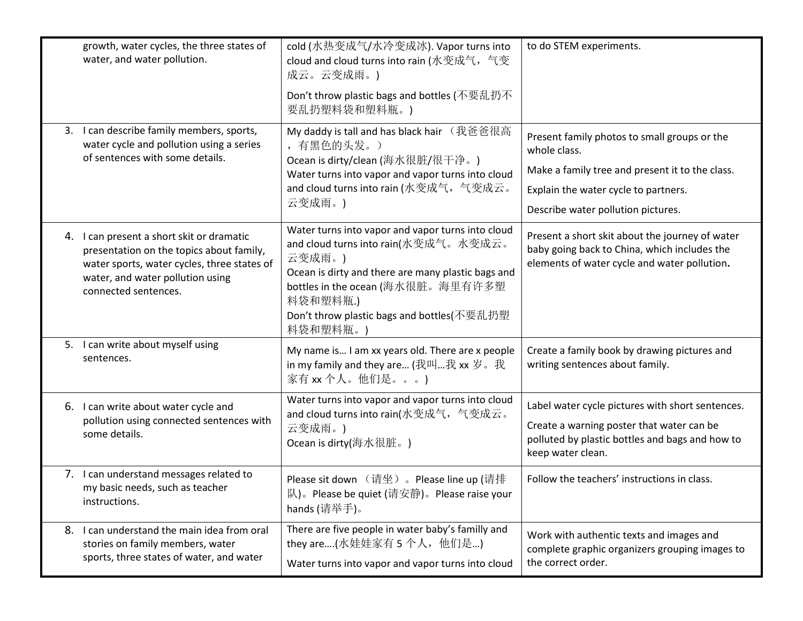| growth, water cycles, the three states of<br>water, and water pollution.                                                                                                                         | cold (水热变成气/水冷变成冰). Vapor turns into<br>cloud and cloud turns into rain (水变成气, 气变<br>成云。云变成雨。)                                                                                                                                                                      | to do STEM experiments.                                                                                                                                                                       |
|--------------------------------------------------------------------------------------------------------------------------------------------------------------------------------------------------|---------------------------------------------------------------------------------------------------------------------------------------------------------------------------------------------------------------------------------------------------------------------|-----------------------------------------------------------------------------------------------------------------------------------------------------------------------------------------------|
|                                                                                                                                                                                                  | Don't throw plastic bags and bottles (不要乱扔不<br>要乱扔塑料袋和塑料瓶。)                                                                                                                                                                                                         |                                                                                                                                                                                               |
| 3. I can describe family members, sports,<br>water cycle and pollution using a series<br>of sentences with some details.                                                                         | My daddy is tall and has black hair (我爸爸很高<br>, 有黑色的头发。)<br>Ocean is dirty/clean (海水很脏/很干净。)<br>Water turns into vapor and vapor turns into cloud<br>and cloud turns into rain (水变成气, 气变成云。<br>云变成雨。)                                                               | Present family photos to small groups or the<br>whole class.<br>Make a family tree and present it to the class.<br>Explain the water cycle to partners.<br>Describe water pollution pictures. |
| 4. I can present a short skit or dramatic<br>presentation on the topics about family,<br>water sports, water cycles, three states of<br>water, and water pollution using<br>connected sentences. | Water turns into vapor and vapor turns into cloud<br>and cloud turns into rain(水变成气。水变成云。<br>云变成雨。)<br>Ocean is dirty and there are many plastic bags and<br>bottles in the ocean (海水很脏。海里有许多塑<br>料袋和塑料瓶.)<br>Don't throw plastic bags and bottles(不要乱扔塑<br>料袋和塑料瓶。 | Present a short skit about the journey of water<br>baby going back to China, which includes the<br>elements of water cycle and water pollution.                                               |
| 5. I can write about myself using<br>sentences.                                                                                                                                                  | My name is I am xx years old. There are x people<br>in my family and they are (我叫我 xx 岁。我<br>家有 xx 个人。他们是。。。)                                                                                                                                                       | Create a family book by drawing pictures and<br>writing sentences about family.                                                                                                               |
| 6. I can write about water cycle and<br>pollution using connected sentences with<br>some details.                                                                                                | Water turns into vapor and vapor turns into cloud<br>and cloud turns into rain(水变成气, 气变成云。<br>云变成雨。)<br>Ocean is dirty(海水很脏。)                                                                                                                                       | Label water cycle pictures with short sentences.<br>Create a warning poster that water can be<br>polluted by plastic bottles and bags and how to<br>keep water clean.                         |
| 7. I can understand messages related to<br>my basic needs, such as teacher<br>instructions.                                                                                                      | Please sit down (请坐) 。Please line up (请排<br>队)。Please be quiet (请安静)。Please raise your<br>hands (请举手)。                                                                                                                                                              | Follow the teachers' instructions in class.                                                                                                                                                   |
| 8. I can understand the main idea from oral<br>stories on family members, water<br>sports, three states of water, and water                                                                      | There are five people in water baby's familly and<br>they are(水娃娃家有 5 个人, 他们是)<br>Water turns into vapor and vapor turns into cloud                                                                                                                                 | Work with authentic texts and images and<br>complete graphic organizers grouping images to<br>the correct order.                                                                              |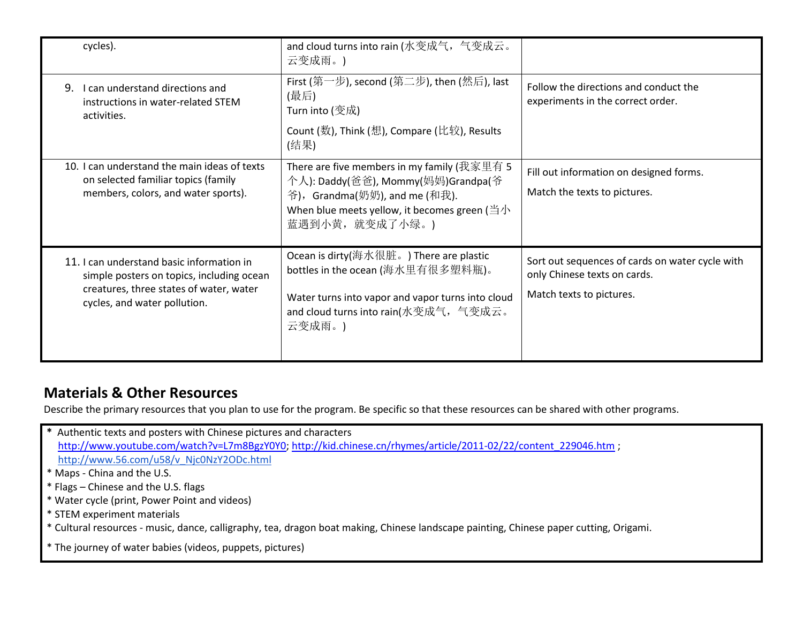| cycles).                                                                                                                                                          | and cloud turns into rain (水变成气, 气变成云。<br>云变成雨。)                                                                                                                                                       |                                                                                                             |
|-------------------------------------------------------------------------------------------------------------------------------------------------------------------|--------------------------------------------------------------------------------------------------------------------------------------------------------------------------------------------------------|-------------------------------------------------------------------------------------------------------------|
| I can understand directions and<br>9.<br>instructions in water-related STEM<br>activities.                                                                        | First (第一步), second (第二步), then (然后), last<br>(最后)<br>Turn into (变成)<br>Count (数), Think (想), Compare (比较), Results<br>(结果)                                                                            | Follow the directions and conduct the<br>experiments in the correct order.                                  |
| 10. I can understand the main ideas of texts<br>on selected familiar topics (family<br>members, colors, and water sports).                                        | There are five members in my family (我家里有 5<br>个人): Daddy(爸爸), Mommy(妈妈)Grandpa(爷<br>爷), Grandma(奶奶), and me (和我).<br>When blue meets yellow, it becomes green ( $\triangleq\psi$ )<br>蓝遇到小黄, 就变成了小绿。) | Fill out information on designed forms.<br>Match the texts to pictures.                                     |
| 11. I can understand basic information in<br>simple posters on topics, including ocean<br>creatures, three states of water, water<br>cycles, and water pollution. | Ocean is dirty(海水很脏。) There are plastic<br>bottles in the ocean (海水里有很多塑料瓶)。<br>Water turns into vapor and vapor turns into cloud<br>and cloud turns into rain(水变成气, 气变成云。<br>云变成雨。)                   | Sort out sequences of cards on water cycle with<br>only Chinese texts on cards.<br>Match texts to pictures. |

## **Materials & Other Resources**

Describe the primary resources that you plan to use for the program. Be specific so that these resources can be shared with other programs.

- **\*** Authentic texts and posters with Chinese pictures and characters [http://www.youtube.com/watch?v=L7m8BgzY0Y0;](http://www.youtube.com/watch?v=L7m8BgzY0Y0) [http://kid.chinese.cn/rhymes/article/2011-02/22/content\\_229046.htm](http://kid.chinese.cn/rhymes/article/2011-02/22/content_229046.htm) ; [http://www.56.com/u58/v\\_Njc0NzY2ODc.html](http://www.56.com/u58/v_Njc0NzY2ODc.html() \* Maps - China and the U.S.
- \* Flags Chinese and the U.S. flags
- \* Water cycle (print, Power Point and videos)
- \* STEM experiment materials
- \* Cultural resources music, dance, calligraphy, tea, dragon boat making, Chinese landscape painting, Chinese paper cutting, Origami.
- \* The journey of water babies (videos, puppets, pictures)